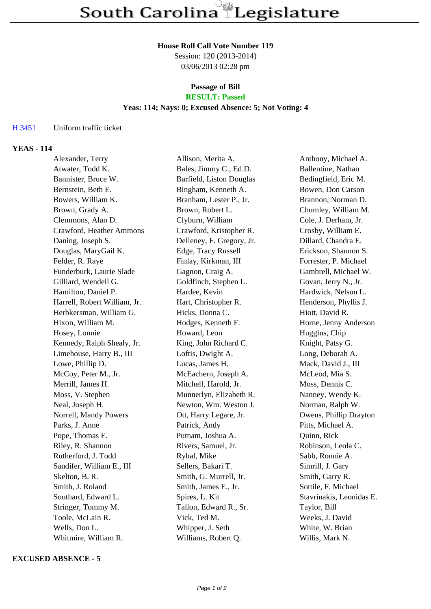#### **House Roll Call Vote Number 119**

Session: 120 (2013-2014) 03/06/2013 02:28 pm

#### **Passage of Bill RESULT: Passed**

# **Yeas: 114; Nays: 0; Excused Absence: 5; Not Voting: 4**

### H 3451 Uniform traffic ticket

### **YEAS - 114**

| Alexander, Terry             | Allison, Merita A.        | Anthony, Michael A.      |
|------------------------------|---------------------------|--------------------------|
| Atwater, Todd K.             | Bales, Jimmy C., Ed.D.    | Ballentine, Nathan       |
| Bannister, Bruce W.          | Barfield, Liston Douglas  | Bedingfield, Eric M.     |
| Bernstein, Beth E.           | Bingham, Kenneth A.       | Bowen, Don Carson        |
| Bowers, William K.           | Branham, Lester P., Jr.   | Brannon, Norman D.       |
| Brown, Grady A.              | Brown, Robert L.          | Chumley, William M.      |
| Clemmons, Alan D.            | Clyburn, William          | Cole, J. Derham, Jr.     |
| Crawford, Heather Ammons     | Crawford, Kristopher R.   | Crosby, William E.       |
| Daning, Joseph S.            | Delleney, F. Gregory, Jr. | Dillard, Chandra E.      |
| Douglas, MaryGail K.         | Edge, Tracy Russell       | Erickson, Shannon S.     |
| Felder, R. Raye              | Finlay, Kirkman, III      | Forrester, P. Michael    |
| Funderburk, Laurie Slade     | Gagnon, Craig A.          | Gambrell, Michael W.     |
| Gilliard, Wendell G.         | Goldfinch, Stephen L.     | Govan, Jerry N., Jr.     |
| Hamilton, Daniel P.          | Hardee, Kevin             | Hardwick, Nelson L.      |
| Harrell, Robert William, Jr. | Hart, Christopher R.      | Henderson, Phyllis J.    |
| Herbkersman, William G.      | Hicks, Donna C.           | Hiott, David R.          |
| Hixon, William M.            | Hodges, Kenneth F.        | Horne, Jenny Anderson    |
| Hosey, Lonnie                | Howard, Leon              | Huggins, Chip            |
| Kennedy, Ralph Shealy, Jr.   | King, John Richard C.     | Knight, Patsy G.         |
| Limehouse, Harry B., III     | Loftis, Dwight A.         | Long, Deborah A.         |
| Lowe, Phillip D.             | Lucas, James H.           | Mack, David J., III      |
| McCoy, Peter M., Jr.         | McEachern, Joseph A.      | McLeod, Mia S.           |
| Merrill, James H.            | Mitchell, Harold, Jr.     | Moss, Dennis C.          |
| Moss, V. Stephen             | Munnerlyn, Elizabeth R.   | Nanney, Wendy K.         |
| Neal, Joseph H.              | Newton, Wm. Weston J.     | Norman, Ralph W.         |
| Norrell, Mandy Powers        | Ott, Harry Legare, Jr.    | Owens, Phillip Drayton   |
| Parks, J. Anne               | Patrick, Andy             | Pitts, Michael A.        |
| Pope, Thomas E.              | Putnam, Joshua A.         | Quinn, Rick              |
| Riley, R. Shannon            | Rivers, Samuel, Jr.       | Robinson, Leola C.       |
| Rutherford, J. Todd          | Ryhal, Mike               | Sabb, Ronnie A.          |
| Sandifer, William E., III    | Sellers, Bakari T.        | Simrill, J. Gary         |
| Skelton, B. R.               | Smith, G. Murrell, Jr.    | Smith, Garry R.          |
| Smith, J. Roland             | Smith, James E., Jr.      | Sottile, F. Michael      |
| Southard, Edward L.          | Spires, L. Kit            | Stavrinakis, Leonidas E. |
| Stringer, Tommy M.           | Tallon, Edward R., Sr.    | Taylor, Bill             |
| Toole, McLain R.             | Vick, Ted M.              | Weeks, J. David          |
| Wells, Don L.                | Whipper, J. Seth          | White, W. Brian          |
| Whitmire, William R.         | Williams, Robert Q.       | Willis, Mark N.          |
|                              |                           |                          |

**EXCUSED ABSENCE - 5**